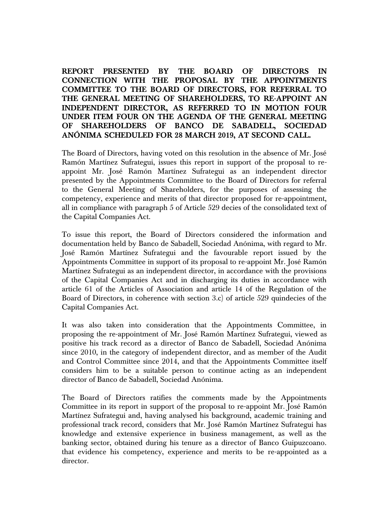**REPORT PRESENTED BY THE BOARD OF DIRECTORS IN CONNECTION WITH THE PROPOSAL BY THE APPOINTMENTS COMMITTEE TO THE BOARD OF DIRECTORS, FOR REFERRAL TO THE GENERAL MEETING OF SHAREHOLDERS, TO RE-APPOINT AN INDEPENDENT DIRECTOR, AS REFERRED TO IN MOTION FOUR UNDER ITEM FOUR ON THE AGENDA OF THE GENERAL MEETING OF SHAREHOLDERS OF BANCO DE SABADELL, SOCIEDAD ANÓNIMA SCHEDULED FOR 28 MARCH 2019, AT SECOND CALL.**

The Board of Directors, having voted on this resolution in the absence of Mr. José Ramón Martínez Sufrategui, issues this report in support of the proposal to reappoint Mr. José Ramón Martínez Sufrategui as an independent director presented by the Appointments Committee to the Board of Directors for referral to the General Meeting of Shareholders, for the purposes of assessing the competency, experience and merits of that director proposed for re-appointment, all in compliance with paragraph 5 of Article 529 decies of the consolidated text of the Capital Companies Act.

To issue this report, the Board of Directors considered the information and documentation held by Banco de Sabadell, Sociedad Anónima, with regard to Mr. José Ramón Martínez Sufrategui and the favourable report issued by the Appointments Committee in support of its proposal to re-appoint Mr. José Ramón Martínez Sufrategui as an independent director, in accordance with the provisions of the Capital Companies Act and in discharging its duties in accordance with article 61 of the Articles of Association and article 14 of the Regulation of the Board of Directors, in coherence with section 3.c) of article 529 quindecies of the Capital Companies Act.

It was also taken into consideration that the Appointments Committee, in proposing the re-appointment of Mr. José Ramón Martínez Sufrategui, viewed as positive his track record as a director of Banco de Sabadell, Sociedad Anónima since 2010, in the category of independent director, and as member of the Audit and Control Committee since 2014, and that the Appointments Committee itself considers him to be a suitable person to continue acting as an independent director of Banco de Sabadell, Sociedad Anónima.

The Board of Directors ratifies the comments made by the Appointments Committee in its report in support of the proposal to re-appoint Mr. José Ramón Martínez Sufrategui and, having analysed his background, academic training and professional track record, considers that Mr. José Ramón Martínez Sufrategui has knowledge and extensive experience in business management, as well as the banking sector, obtained during his tenure as a director of Banco Guipuzcoano. that evidence his competency, experience and merits to be re-appointed as a director.